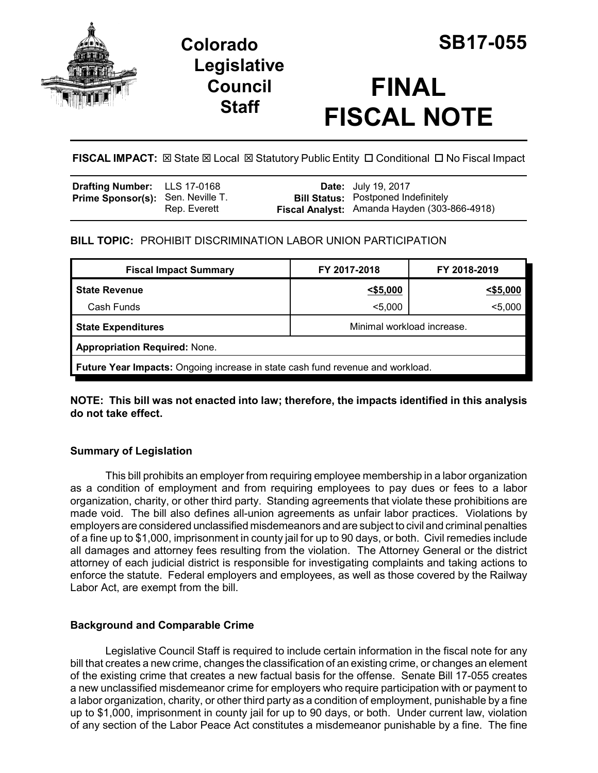

# **Colorado SB17-055 Legislative Council Staff**

# **FINAL FISCAL NOTE**

**FISCAL IMPACT:**  $\boxtimes$  **State**  $\boxtimes$  **Local**  $\boxtimes$  **Statutory Public Entity □ Conditional □ No Fiscal Impact** 

| <b>Drafting Number:</b> LLS 17-0168      |              | <b>Date:</b> July 19, 2017                                                                 |
|------------------------------------------|--------------|--------------------------------------------------------------------------------------------|
| <b>Prime Sponsor(s): Sen. Neville T.</b> | Rep. Everett | <b>Bill Status:</b> Postponed Indefinitely<br>Fiscal Analyst: Amanda Hayden (303-866-4918) |

## **BILL TOPIC:** PROHIBIT DISCRIMINATION LABOR UNION PARTICIPATION

| <b>Fiscal Impact Summary</b>                                                   | FY 2017-2018               | FY 2018-2019 |  |  |  |
|--------------------------------------------------------------------------------|----------------------------|--------------|--|--|--|
| <b>State Revenue</b>                                                           | 55,000                     | $<$ \$5,000  |  |  |  |
| Cash Funds                                                                     | $5,000$                    | $5,000$      |  |  |  |
| <b>State Expenditures</b>                                                      | Minimal workload increase. |              |  |  |  |
| <b>Appropriation Required: None.</b>                                           |                            |              |  |  |  |
| Future Year Impacts: Ongoing increase in state cash fund revenue and workload. |                            |              |  |  |  |

**NOTE: This bill was not enacted into law; therefore, the impacts identified in this analysis do not take effect.**

# **Summary of Legislation**

This bill prohibits an employer from requiring employee membership in a labor organization as a condition of employment and from requiring employees to pay dues or fees to a labor organization, charity, or other third party. Standing agreements that violate these prohibitions are made void. The bill also defines all-union agreements as unfair labor practices. Violations by employers are considered unclassified misdemeanors and are subject to civil and criminal penalties of a fine up to \$1,000, imprisonment in county jail for up to 90 days, or both. Civil remedies include all damages and attorney fees resulting from the violation. The Attorney General or the district attorney of each judicial district is responsible for investigating complaints and taking actions to enforce the statute. Federal employers and employees, as well as those covered by the Railway Labor Act, are exempt from the bill.

### **Background and Comparable Crime**

Legislative Council Staff is required to include certain information in the fiscal note for any bill that creates a new crime, changes the classification of an existing crime, or changes an element of the existing crime that creates a new factual basis for the offense. Senate Bill 17-055 creates a new unclassified misdemeanor crime for employers who require participation with or payment to a labor organization, charity, or other third party as a condition of employment, punishable by a fine up to \$1,000, imprisonment in county jail for up to 90 days, or both. Under current law, violation of any section of the Labor Peace Act constitutes a misdemeanor punishable by a fine. The fine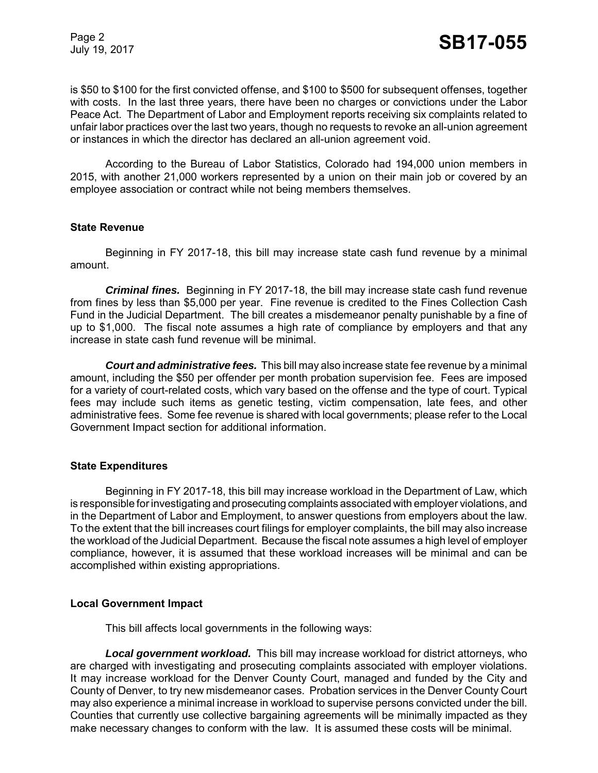Page 2

is \$50 to \$100 for the first convicted offense, and \$100 to \$500 for subsequent offenses, together with costs. In the last three years, there have been no charges or convictions under the Labor Peace Act. The Department of Labor and Employment reports receiving six complaints related to unfair labor practices over the last two years, though no requests to revoke an all-union agreement or instances in which the director has declared an all-union agreement void.

According to the Bureau of Labor Statistics, Colorado had 194,000 union members in 2015, with another 21,000 workers represented by a union on their main job or covered by an employee association or contract while not being members themselves.

#### **State Revenue**

Beginning in FY 2017-18, this bill may increase state cash fund revenue by a minimal amount.

*Criminal fines.* Beginning in FY 2017-18, the bill may increase state cash fund revenue from fines by less than \$5,000 per year. Fine revenue is credited to the Fines Collection Cash Fund in the Judicial Department. The bill creates a misdemeanor penalty punishable by a fine of up to \$1,000. The fiscal note assumes a high rate of compliance by employers and that any increase in state cash fund revenue will be minimal.

*Court and administrative fees.*This bill may also increase state fee revenue by a minimal amount, including the \$50 per offender per month probation supervision fee. Fees are imposed for a variety of court-related costs, which vary based on the offense and the type of court. Typical fees may include such items as genetic testing, victim compensation, late fees, and other administrative fees. Some fee revenue is shared with local governments; please refer to the Local Government Impact section for additional information.

#### **State Expenditures**

Beginning in FY 2017-18, this bill may increase workload in the Department of Law, which is responsible for investigating and prosecuting complaints associated with employer violations, and in the Department of Labor and Employment, to answer questions from employers about the law. To the extent that the bill increases court filings for employer complaints, the bill may also increase the workload of the Judicial Department. Because the fiscal note assumes a high level of employer compliance, however, it is assumed that these workload increases will be minimal and can be accomplished within existing appropriations.

#### **Local Government Impact**

This bill affects local governments in the following ways:

*Local government workload.* This bill may increase workload for district attorneys, who are charged with investigating and prosecuting complaints associated with employer violations. It may increase workload for the Denver County Court, managed and funded by the City and County of Denver, to try new misdemeanor cases. Probation services in the Denver County Court may also experience a minimal increase in workload to supervise persons convicted under the bill. Counties that currently use collective bargaining agreements will be minimally impacted as they make necessary changes to conform with the law. It is assumed these costs will be minimal.